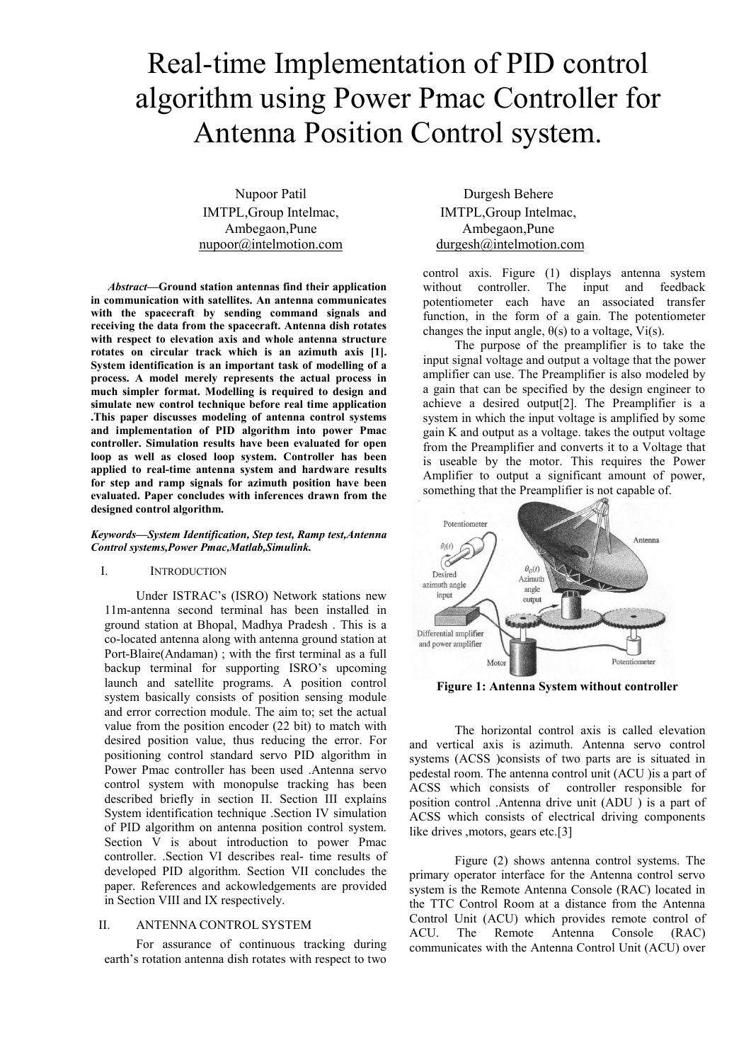# Real-time Implementation of PID control algorithm using Power Pmac Controller for Antenna Position Control system.

Nupoor Patil IMTPL,Group Intelmac, Ambegaon,Pune nupoor@intelmotion.com

*Abstract***—Ground station antennas find their application in communication with satellites. An antenna communicates with the spacecraft by sending command signals and receiving the data from the spacecraft. Antenna dish rotates with respect to elevation axis and whole antenna structure rotates on circular track which is an azimuth axis [1]. System identification is an important task of modelling of a process. A model merely represents the actual process in much simpler format. Modelling is required to design and simulate new control technique before real time application .This paper discusses modeling of antenna control systems and implementation of PID algorithm into power Pmac controller. Simulation results have been evaluated for open loop as well as closed loop system. Controller has been applied to real-time antenna system and hardware results for step and ramp signals for azimuth position have been evaluated. Paper concludes with inferences drawn from the designed control algorithm.** 

#### *Keywords—System Identification, Step test, Ramp test,Antenna Control systems,Power Pmac,Matlab,Simulink.*

## I. INTRODUCTION

 Under ISTRAC's (ISRO) Network stations new 11m-antenna second terminal has been installed in ground station at Bhopal, Madhya Pradesh . This is a co-located antenna along with antenna ground station at Port-Blaire(Andaman) ; with the first terminal as a full backup terminal for supporting ISRO's upcoming launch and satellite programs. A position control system basically consists of position sensing module and error correction module. The aim to; set the actual value from the position encoder (22 bit) to match with desired position value, thus reducing the error. For positioning control standard servo PID algorithm in Power Pmac controller has been used .Antenna servo control system with monopulse tracking has been described briefly in section II. Section III explains System identification technique .Section IV simulation of PID algorithm on antenna position control system. Section V is about introduction to power Pmac controller. .Section VI describes real- time results of developed PID algorithm. Section VII concludes the paper. References and ackowledgements are provided in Section VIII and IX respectively.

## II. ANTENNA CONTROL SYSTEM

For assurance of continuous tracking during earth's rotation antenna dish rotates with respect to two

Durgesh Behere IMTPL,Group Intelmac, Ambegaon,Pune durgesh@intelmotion.com

control axis. Figure (1) displays antenna system without controller. The input and feedback potentiometer each have an associated transfer function, in the form of a gain. The potentiometer changes the input angle,  $\theta(s)$  to a voltage, Vi(s).

The purpose of the preamplifier is to take the input signal voltage and output a voltage that the power amplifier can use. The Preamplifier is also modeled by a gain that can be specified by the design engineer to achieve a desired output[2]. The Preamplifier is a system in which the input voltage is amplified by some gain K and output as a voltage. takes the output voltage from the Preamplifier and converts it to a Voltage that is useable by the motor. This requires the Power Amplifier to output a significant amount of power, something that the Preamplifier is not capable of.



**Figure 1: Antenna System without controller** 

The horizontal control axis is called elevation and vertical axis is azimuth. Antenna servo control systems (ACSS )consists of two parts are is situated in pedestal room. The antenna control unit (ACU )is a part of ACSS which consists of controller responsible for position control .Antenna drive unit (ADU ) is a part of ACSS which consists of electrical driving components like drives , motors, gears etc.<sup>[3]</sup>

Figure (2) shows antenna control systems. The primary operator interface for the Antenna control servo system is the Remote Antenna Console (RAC) located in the TTC Control Room at a distance from the Antenna Control Unit (ACU) which provides remote control of ACU. The Remote Antenna Console (RAC) communicates with the Antenna Control Unit (ACU) over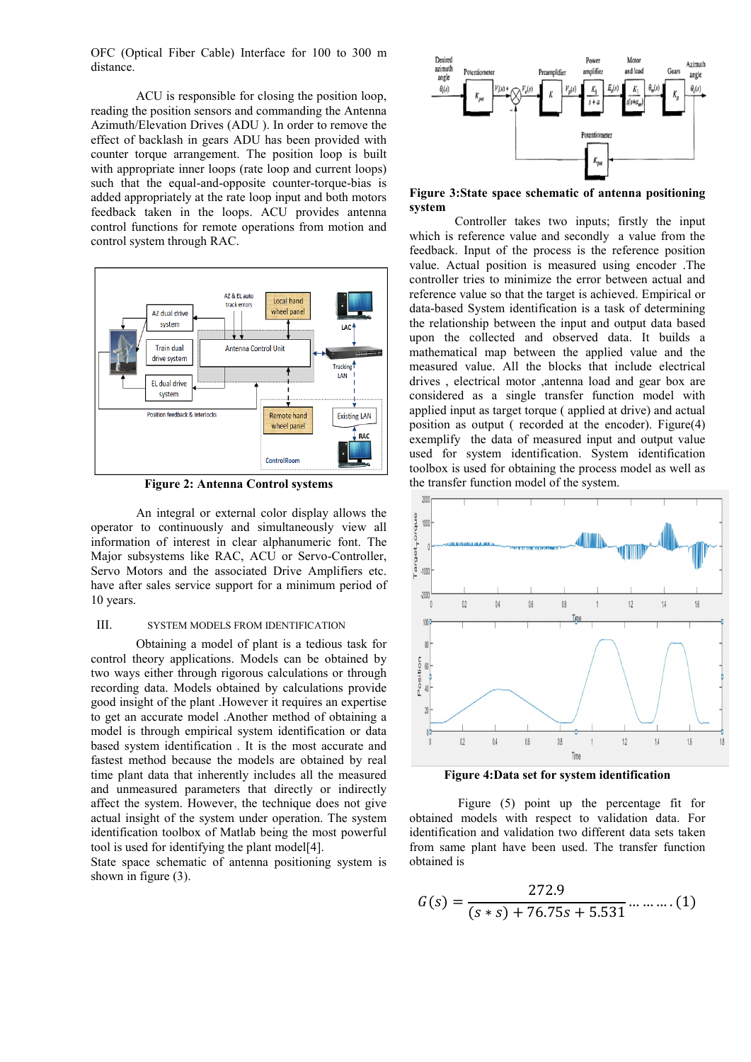OFC (Optical Fiber Cable) Interface for 100 to 300 m distance.

 ACU is responsible for closing the position loop, reading the position sensors and commanding the Antenna Azimuth/Elevation Drives (ADU ). In order to remove the effect of backlash in gears ADU has been provided with counter torque arrangement. The position loop is built with appropriate inner loops (rate loop and current loops) such that the equal-and-opposite counter-torque-bias is added appropriately at the rate loop input and both motors feedback taken in the loops. ACU provides antenna control functions for remote operations from motion and control system through RAC.



**Figure 2: Antenna Control systems** 

An integral or external color display allows the operator to continuously and simultaneously view all information of interest in clear alphanumeric font. The Major subsystems like RAC, ACU or Servo-Controller, Servo Motors and the associated Drive Amplifiers etc. have after sales service support for a minimum period of 10 years.

#### III. SYSTEM MODELS FROM IDENTIFICATION

Obtaining a model of plant is a tedious task for control theory applications. Models can be obtained by two ways either through rigorous calculations or through recording data. Models obtained by calculations provide good insight of the plant .However it requires an expertise to get an accurate model .Another method of obtaining a model is through empirical system identification or data based system identification . It is the most accurate and fastest method because the models are obtained by real time plant data that inherently includes all the measured and unmeasured parameters that directly or indirectly affect the system. However, the technique does not give actual insight of the system under operation. The system identification toolbox of Matlab being the most powerful tool is used for identifying the plant model[4].

State space schematic of antenna positioning system is shown in figure (3).



# **Figure 3:State space schematic of antenna positioning system**

Controller takes two inputs; firstly the input which is reference value and secondly a value from the feedback. Input of the process is the reference position value. Actual position is measured using encoder .The controller tries to minimize the error between actual and reference value so that the target is achieved. Empirical or data-based System identification is a task of determining the relationship between the input and output data based upon the collected and observed data. It builds a mathematical map between the applied value and the measured value. All the blocks that include electrical drives , electrical motor ,antenna load and gear box are considered as a single transfer function model with applied input as target torque ( applied at drive) and actual position as output ( recorded at the encoder). Figure(4) exemplify the data of measured input and output value used for system identification. System identification toolbox is used for obtaining the process model as well as the transfer function model of the system.



**Figure 4:Data set for system identification** 

 Figure (5) point up the percentage fit for obtained models with respect to validation data. For identification and validation two different data sets taken from same plant have been used. The transfer function obtained is

$$
G(s) = \frac{272.9}{(s * s) + 76.75s + 5.531} \dots \dots \dots (1)
$$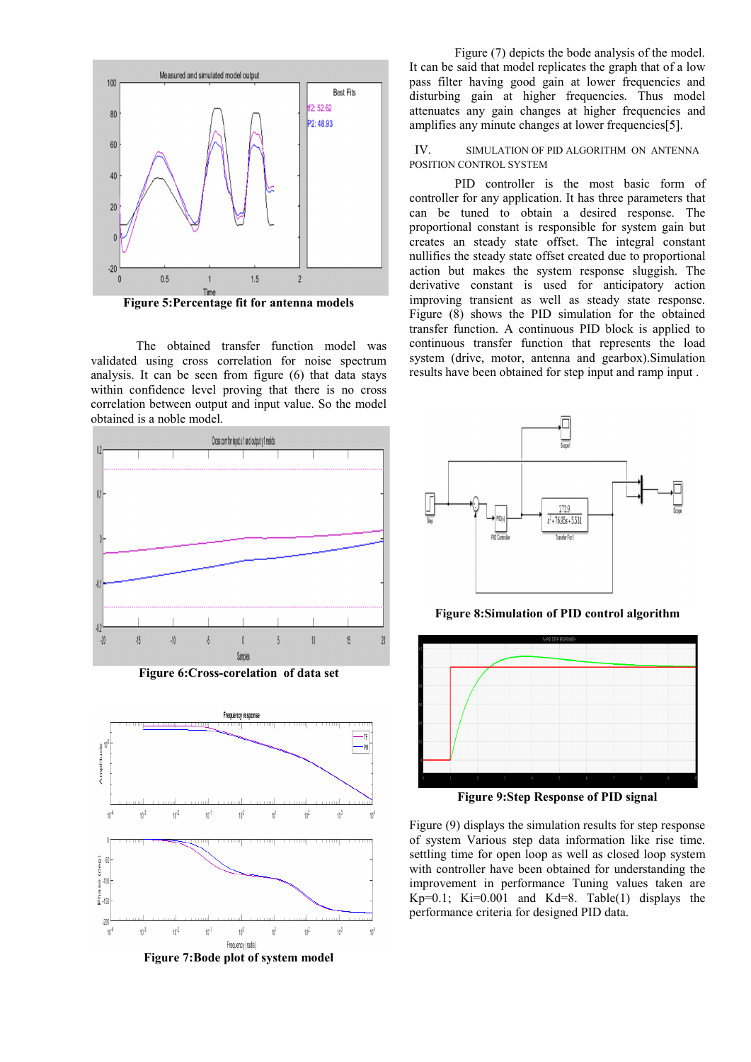

**Figure 5:Percentage fit for antenna models** 

The obtained transfer function model was validated using cross correlation for noise spectrum analysis. It can be seen from figure (6) that data stays within confidence level proving that there is no cross correlation between output and input value. So the model obtained is a noble model.



**Figure 6:Cross-corelation of data set** 



Figure (7) depicts the bode analysis of the model. It can be said that model replicates the graph that of a low pass filter having good gain at lower frequencies and disturbing gain at higher frequencies. Thus model attenuates any gain changes at higher frequencies and amplifies any minute changes at lower frequencies[5].

IV. SIMULATION OF PID ALGORITHM ON ANTENNA POSITION CONTROL SYSTEM

PID controller is the most basic form of controller for any application. It has three parameters that can be tuned to obtain a desired response. The proportional constant is responsible for system gain but creates an steady state offset. The integral constant nullifies the steady state offset created due to proportional action but makes the system response sluggish. The derivative constant is used for anticipatory action improving transient as well as steady state response. Figure (8) shows the PID simulation for the obtained transfer function. A continuous PID block is applied to continuous transfer function that represents the load system (drive, motor, antenna and gearbox).Simulation results have been obtained for step input and ramp input .



**Figure 8:Simulation of PID control algorithm** 



**Figure 9:Step Response of PID signal** 

Figure (9) displays the simulation results for step response of system Various step data information like rise time. settling time for open loop as well as closed loop system with controller have been obtained for understanding the improvement in performance Tuning values taken are Kp=0.1; Ki=0.001 and Kd=8. Table(1) displays the performance criteria for designed PID data.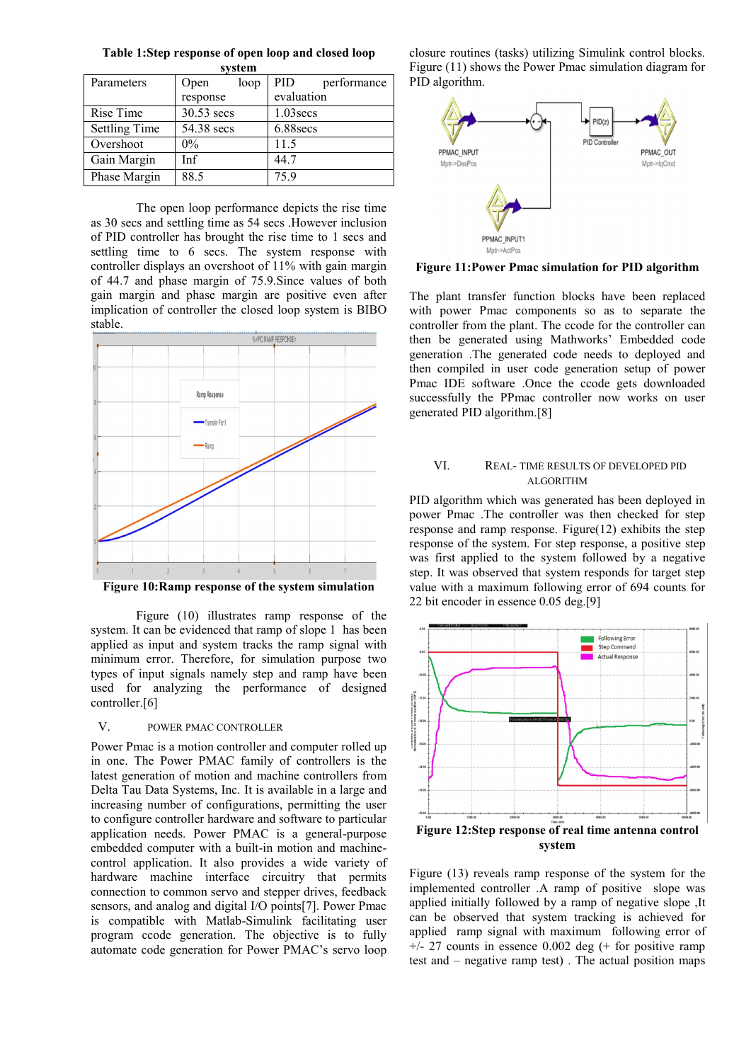**Table 1:Step response of open loop and closed loop** 

| system               |            |      |             |             |
|----------------------|------------|------|-------------|-------------|
| Parameters           | Open       | loop | PID -       | performance |
|                      | response   |      | evaluation  |             |
| Rise Time            | 30.53 secs |      | $1.03$ secs |             |
| <b>Settling Time</b> | 54.38 secs |      | 6.88secs    |             |
| Overshoot            | $0\%$      |      | 11.5        |             |
| Gain Margin          | Inf        |      | 44.7        |             |
| Phase Margin         | 88.5       |      | 75.9        |             |

The open loop performance depicts the rise time as 30 secs and settling time as 54 secs .However inclusion of PID controller has brought the rise time to 1 secs and settling time to 6 secs. The system response with controller displays an overshoot of 11% with gain margin of 44.7 and phase margin of 75.9.Since values of both gain margin and phase margin are positive even after implication of controller the closed loop system is BIBO stable.



**Figure 10:Ramp response of the system simulation** 

 Figure (10) illustrates ramp response of the system. It can be evidenced that ramp of slope 1 has been applied as input and system tracks the ramp signal with minimum error. Therefore, for simulation purpose two types of input signals namely step and ramp have been used for analyzing the performance of designed controller.[6]

## V. POWER PMAC CONTROLLER

Power Pmac is a motion controller and computer rolled up in one. The Power PMAC family of controllers is the latest generation of motion and machine controllers from Delta Tau Data Systems, Inc. It is available in a large and increasing number of configurations, permitting the user to configure controller hardware and software to particular application needs. Power PMAC is a general-purpose embedded computer with a built-in motion and machinecontrol application. It also provides a wide variety of hardware machine interface circuitry that permits connection to common servo and stepper drives, feedback sensors, and analog and digital I/O points[7]. Power Pmac is compatible with Matlab-Simulink facilitating user program ccode generation. The objective is to fully automate code generation for Power PMAC's servo loop

closure routines (tasks) utilizing Simulink control blocks. Figure (11) shows the Power Pmac simulation diagram for PID algorithm.



**Figure 11:Power Pmac simulation for PID algorithm** 

The plant transfer function blocks have been replaced with power Pmac components so as to separate the controller from the plant. The ccode for the controller can then be generated using Mathworks' Embedded code generation .The generated code needs to deployed and then compiled in user code generation setup of power Pmac IDE software .Once the ccode gets downloaded successfully the PPmac controller now works on user generated PID algorithm.[8]

# VI. REAL- TIME RESULTS OF DEVELOPED PID ALGORITHM

PID algorithm which was generated has been deployed in power Pmac .The controller was then checked for step response and ramp response. Figure(12) exhibits the step response of the system. For step response, a positive step was first applied to the system followed by a negative step. It was observed that system responds for target step value with a maximum following error of 694 counts for 22 bit encoder in essence 0.05 deg.[9]



Figure (13) reveals ramp response of the system for the implemented controller .A ramp of positive slope was applied initially followed by a ramp of negative slope ,It can be observed that system tracking is achieved for applied ramp signal with maximum following error of  $+/- 27$  counts in essence 0.002 deg (+ for positive ramp test and – negative ramp test) . The actual position maps